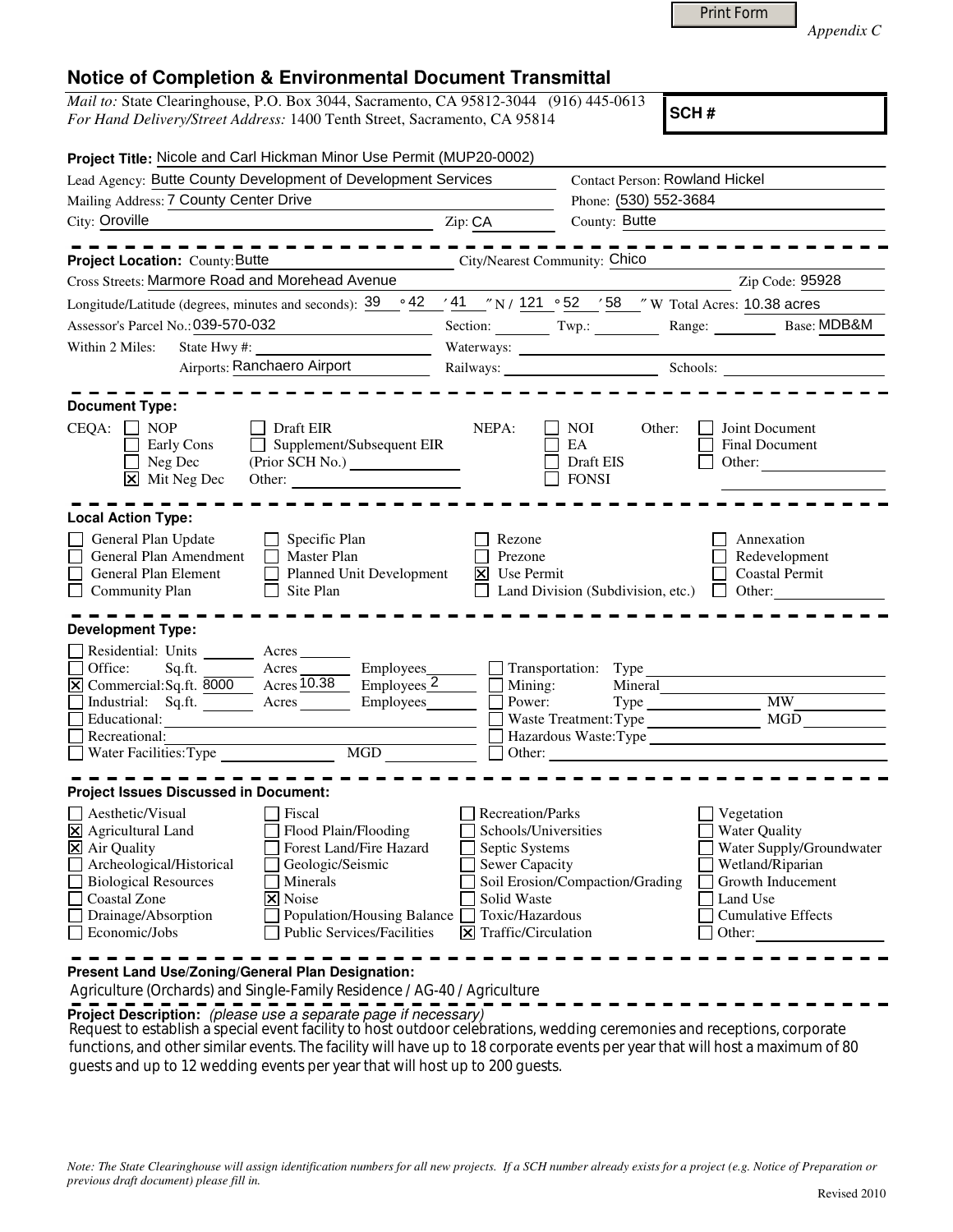|  | <b>Print Form</b> |
|--|-------------------|
|  |                   |

*Appendix C* 

## **Notice of Completion & Environmental Document Transmittal**

*Mail to:* State Clearinghouse, P.O. Box 3044, Sacramento, CA 95812-3044 (916) 445-0613 *For Hand Delivery/Street Address:* 1400 Tenth Street, Sacramento, CA 95814

**SCH #**

| Project Title: Nicole and Carl Hickman Minor Use Permit (MUP20-0002)                                                                                                                                                                                                                                                                                   |                                                                                                                                                    |                                                                                                                                 |                                                                                                                                                            |
|--------------------------------------------------------------------------------------------------------------------------------------------------------------------------------------------------------------------------------------------------------------------------------------------------------------------------------------------------------|----------------------------------------------------------------------------------------------------------------------------------------------------|---------------------------------------------------------------------------------------------------------------------------------|------------------------------------------------------------------------------------------------------------------------------------------------------------|
| Lead Agency: Butte County Development of Development Services                                                                                                                                                                                                                                                                                          |                                                                                                                                                    | <b>Contact Person: Rowland Hickel</b>                                                                                           |                                                                                                                                                            |
| Mailing Address: 7 County Center Drive                                                                                                                                                                                                                                                                                                                 |                                                                                                                                                    | Phone: (530) 552-3684                                                                                                           |                                                                                                                                                            |
| City: Oroville                                                                                                                                                                                                                                                                                                                                         | Zip: CA                                                                                                                                            | County: Butte                                                                                                                   |                                                                                                                                                            |
| Project Location: County: Butte<br><b>City/Nearest Community: Chico</b>                                                                                                                                                                                                                                                                                |                                                                                                                                                    |                                                                                                                                 |                                                                                                                                                            |
| Cross Streets: Marmore Road and Morehead Avenue                                                                                                                                                                                                                                                                                                        |                                                                                                                                                    |                                                                                                                                 | Zip Code: 95928                                                                                                                                            |
| Longitude/Latitude (degrees, minutes and seconds): 39                                                                                                                                                                                                                                                                                                  |                                                                                                                                                    | $\frac{1}{2}$ 42 $\frac{1}{41}$ $\frac{1}{2}$ N / 121 $\frac{52}{52}$ $\frac{1}{2}$ 58 $\frac{1}{2}$ W Total Acres: 10.38 acres |                                                                                                                                                            |
| Assessor's Parcel No.: 039-570-032                                                                                                                                                                                                                                                                                                                     |                                                                                                                                                    |                                                                                                                                 | Section: Twp.: Twp.: Range: Base: MDB&M                                                                                                                    |
| Within 2 Miles:<br>State Hwy#:                                                                                                                                                                                                                                                                                                                         |                                                                                                                                                    |                                                                                                                                 |                                                                                                                                                            |
| Airports: Ranchaero Airport                                                                                                                                                                                                                                                                                                                            |                                                                                                                                                    |                                                                                                                                 | Railways: Schools:                                                                                                                                         |
| <b>Document Type:</b><br>$CEQA: \Box NOP$<br>Draft EIR<br>Early Cons<br>Supplement/Subsequent EIR<br>Neg Dec<br>$\boxed{\mathsf{X}}$ Mit Neg Dec<br>Other:                                                                                                                                                                                             | NEPA:                                                                                                                                              | NOI.<br>Other:<br>EA<br>Draft EIS<br><b>FONSI</b>                                                                               | Joint Document<br><b>Final Document</b><br>Other:                                                                                                          |
| <b>Local Action Type:</b><br>General Plan Update<br>$\Box$ Specific Plan<br>General Plan Amendment<br>$\Box$ Master Plan<br>General Plan Element<br>Planned Unit Development<br><b>Community Plan</b><br>$\Box$ Site Plan<br>Development Type:                                                                                                         | Rezone<br>Prezone<br>Use Permit<br>$\vert x \vert$                                                                                                 |                                                                                                                                 | Annexation<br>Redevelopment<br><b>Coastal Permit</b><br>Land Division (Subdivision, etc.) $\Box$ Other:                                                    |
| Residential: Units _________ Acres _______<br>Office:<br>Sq.ft.<br>$\frac{\text{Acres}}{\text{Acres}}$<br>Employees_<br>X Commercial:Sq.ft. 8000 Acres 10.38<br>Employees <sub>2</sub><br>Industrial: Sq.ft. Acres<br>Employees_<br>Educational:<br>Recreational:<br>Water Facilities: Type MGD                                                        | Power:                                                                                                                                             | Transportation: Type<br>Mining:<br>Mineral<br>Waste Treatment: Type<br>Other: $\qquad \qquad$ Other:                            | <b>MW</b><br><b>MGD</b><br>Hazardous Waste: Type                                                                                                           |
| <b>Project Issues Discussed in Document:</b>                                                                                                                                                                                                                                                                                                           |                                                                                                                                                    |                                                                                                                                 |                                                                                                                                                            |
| Aesthetic/Visual<br>Fiscal<br>X Agricultural Land<br>Flood Plain/Flooding<br>Forest Land/Fire Hazard<br>X Air Quality<br>Archeological/Historical<br>Geologic/Seismic<br><b>Biological Resources</b><br>Minerals<br>Coastal Zone<br>X Noise<br>Drainage/Absorption<br>Population/Housing Balance<br><b>Public Services/Facilities</b><br>Economic/Jobs | Recreation/Parks<br>Schools/Universities<br>Septic Systems<br><b>Sewer Capacity</b><br>Solid Waste<br>Toxic/Hazardous<br>$\Xi$ Traffic/Circulation | Soil Erosion/Compaction/Grading                                                                                                 | Vegetation<br><b>Water Quality</b><br>Water Supply/Groundwater<br>Wetland/Riparian<br>Growth Inducement<br>Land Use<br><b>Cumulative Effects</b><br>Other: |

**Present Land Use/Zoning/General Plan Designation:**

Agriculture (Orchards) and Single-Family Residence / AG-40 / Agriculture

**Project Description:** (please use a separate page if necessary)

Request to establish a special event facility to host outdoor celebrations, wedding ceremonies and receptions, corporate functions, and other similar events. The facility will have up to 18 corporate events per year that will host a maximum of 80 guests and up to 12 wedding events per year that will host up to 200 guests.